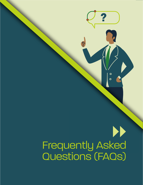# Frequently Asked Questions (FAQs)

 $\overline{\phantom{a}}$   $\overline{\phantom{a}}$   $\overline{\phantom{a}}$   $\overline{\phantom{a}}$   $\overline{\phantom{a}}$   $\overline{\phantom{a}}$   $\overline{\phantom{a}}$   $\overline{\phantom{a}}$   $\overline{\phantom{a}}$   $\overline{\phantom{a}}$   $\overline{\phantom{a}}$   $\overline{\phantom{a}}$   $\overline{\phantom{a}}$   $\overline{\phantom{a}}$   $\overline{\phantom{a}}$   $\overline{\phantom{a}}$   $\overline{\phantom{a}}$   $\overline{\phantom{a}}$   $\overline{\$ 

 $\bullet$ 

 $\overline{O}$ 

**?**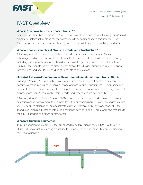Frequently Asked Questions

# FAST Overview

#### **What is "Freeway And Street-based Transit"?**

Freeway And Street-based Transit – or "FAST" – is a scalable approach for quickly integrating "transit advantage" infrastructure along the roadway system to support enhanced transit service. The "FAST" approach prioritizes transit efficiency and reliability while improving mobility for all users.

#### **What are some examples of "transit advantage" infrastructure?**

A Freeway And Street-based Transit (FAST) corridor incorporates one or more "transit advantages," which are purposeful, scalable infrastructure investments to keep transit moving, including transit priority lanes and shoulders, such as the growing Bus On Shoulder System (BOSS) in the Triangle, as well as direct access ramps, transit signal priority and queue jumps at intersections, and near-level boarding at transit stops and stations.

#### **How do FAST corridors compare with, and complement, Bus Rapid Transit (BRT)?**

*Bus Rapid Transit (BRT)* is a highly visible, concentrated corridor investment with extensive transit advantage infrastructure, served by one or more frequent transit routes. Communities can augment BRT with complementary land use policies to focus development. The Triangle area will activate more than 25 miles of BRT this decade, and other areas are exploring BRT.

*A Freeway And Street-based Transit (FAST) corridor* can effectively provide a low-cost regional extension of and complement to bus rapid transit by enhancing non-BRT roadway segments with varying degrees of transit advantage infrastructure. An example FAST network concept in the Triangle envisions an interconnected regional transit network along 10 area roadways that links to the 5 BRT corridors and future commuter rail.

#### **What are trunkline segments?**

Trunkline segments are corridors that are shared by multiple transit routes. FAST routes could utilize BRT infrastructure creating a trunkline to enhance speed and reliability while eliminating the need to transfer.

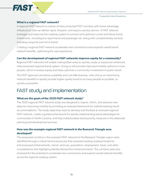

Frequently Asked Questions

## **What is a regional FAST network?**

A regional FAST network is a series of interconnected FAST corridors with transit advantage infrastructure that can deliver rapid, frequent, and easy-to-use bus service. A FAST network leverages and improves the roadway system to connect and optimize current and future transit investments, including bus rapid transit and passenger rail, along with complementary services including vanpools and micro-transit.

Creating a regional FAST network accelerates new connections and expands overall transit network benefits, optimizing the user experience.

#### **Can the development of regional FAST networks improve equity for a community?**

Regional FAST networks will enable metropolitan areas to quickly create or expand an enhanced, interconnected regional transit system. Doing so will provide improved mobility options to more people, which increases equity and helps optimize a community's investment in public transit.

The FAST approach prioritizes scalability and cost-effectiveness, with a focus on maximizing network benefits to rapidly provide higher quality transit to as many people as possible, as quickly as possible.

# FAST study and implementation

## **What are the goals of the 2020 FAST network study?**

The 2020 regional FAST network study was designed to inspire, inform, and advance new ideas for improving mobility by providing an example framework for institutionalizing transit accommodations. The study objectives were to develop and illustrate an example regional FAST network, create a guidance framework for quickly implementing transit advantages for communities in North Carolina, and help institutionalize transit priority measures in the statewide planning and development process.

# **How was the example regional FAST network in the Research Triangle area developed?**

The proposed corridors in the example FAST network for the Research Triangle region were identified through a robust technical process that reviewed existing roadway footprints and proposed enhancements, transit, land use, population, employment, travel, and other considerations that highlight potential demand for enhanced transit. The corridors were also reviewed for the potential to accelerate new connections and expand overall network benefits across the regional roadway system.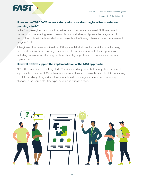

Frequently Asked Questions

# **How can the 2020 FAST network study inform local and regional transportation planning efforts?**

In the Triangle region, transportation partners can incorporate proposed FAST investment concepts into developing transit plans and corridor studies, and pursue the integration of FAST infrastructure into statewide-funded projects in the Strategic Transportation Improvement Program (STIP).

All regions of the state can utilize the FAST approach to help instill a transit focus in the design and construction of roadway projects, incorporate transit elements into traffic operations including improved trunkline segments, and identify opportunities to enhance and connect regional transit.

#### **How will NCDOT support the implementation of the FAST approach?**

NCDOT is committed to making North Carolina's roadways work better for public transit and supports the creation of FAST networks in metropolitan areas across the state. NCDOT is revising the state Roadway Design Manual to include transit advantage elements, and is pursuing changes in the Complete Streets policy to include transit options.